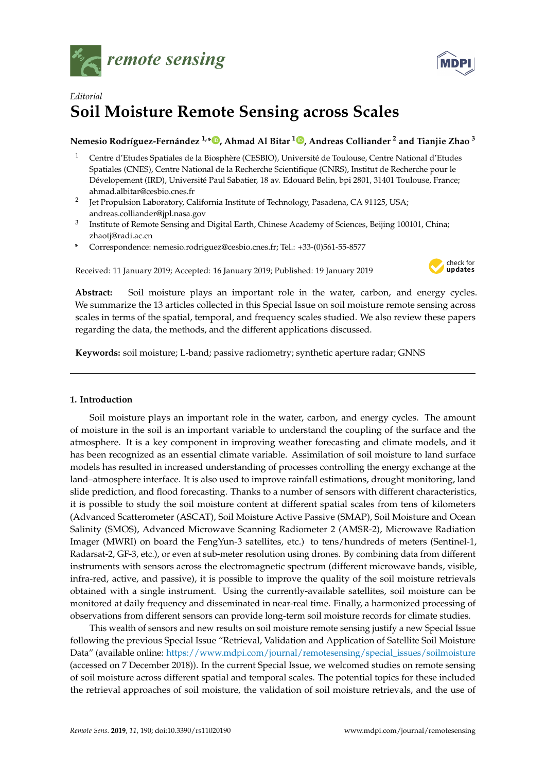



# *Editorial* **Soil Moisture Remote Sensing across Scales**

# **Nemesio Rodríguez-Fernández 1,\* [,](https://orcid.org/0000-0003-3796-149X) Ahmad Al Bitar <sup>1</sup> [,](https://orcid.org/0000-0002-1756-1096) Andreas Colliander <sup>2</sup> and Tianjie Zhao <sup>3</sup>**

- <sup>1</sup> Centre d'Etudes Spatiales de la Biosphère (CESBIO), Université de Toulouse, Centre National d'Etudes Spatiales (CNES), Centre National de la Recherche Scientifique (CNRS), Institut de Recherche pour le Dévelopement (IRD), Université Paul Sabatier, 18 av. Edouard Belin, bpi 2801, 31401 Toulouse, France; ahmad.albitar@cesbio.cnes.fr
- 2 Jet Propulsion Laboratory, California Institute of Technology, Pasadena, CA 91125, USA; andreas.colliander@jpl.nasa.gov
- 3 Institute of Remote Sensing and Digital Earth, Chinese Academy of Sciences, Beijing 100101, China; zhaotj@radi.ac.cn
- **\*** Correspondence: nemesio.rodriguez@cesbio.cnes.fr; Tel.: +33-(0)561-55-8577

Received: 11 January 2019; Accepted: 16 January 2019; Published: 19 January 2019



**Abstract:** Soil moisture plays an important role in the water, carbon, and energy cycles. We summarize the 13 articles collected in this Special Issue on soil moisture remote sensing across scales in terms of the spatial, temporal, and frequency scales studied. We also review these papers regarding the data, the methods, and the different applications discussed.

**Keywords:** soil moisture; L-band; passive radiometry; synthetic aperture radar; GNNS

# **1. Introduction**

Soil moisture plays an important role in the water, carbon, and energy cycles. The amount of moisture in the soil is an important variable to understand the coupling of the surface and the atmosphere. It is a key component in improving weather forecasting and climate models, and it has been recognized as an essential climate variable. Assimilation of soil moisture to land surface models has resulted in increased understanding of processes controlling the energy exchange at the land–atmosphere interface. It is also used to improve rainfall estimations, drought monitoring, land slide prediction, and flood forecasting. Thanks to a number of sensors with different characteristics, it is possible to study the soil moisture content at different spatial scales from tens of kilometers (Advanced Scatterometer (ASCAT), Soil Moisture Active Passive (SMAP), Soil Moisture and Ocean Salinity (SMOS), Advanced Microwave Scanning Radiometer 2 (AMSR-2), Microwave Radiation Imager (MWRI) on board the FengYun-3 satellites, etc.) to tens/hundreds of meters (Sentinel-1, Radarsat-2, GF-3, etc.), or even at sub-meter resolution using drones. By combining data from different instruments with sensors across the electromagnetic spectrum (different microwave bands, visible, infra-red, active, and passive), it is possible to improve the quality of the soil moisture retrievals obtained with a single instrument. Using the currently-available satellites, soil moisture can be monitored at daily frequency and disseminated in near-real time. Finally, a harmonized processing of observations from different sensors can provide long-term soil moisture records for climate studies.

This wealth of sensors and new results on soil moisture remote sensing justify a new Special Issue following the previous Special Issue "Retrieval, Validation and Application of Satellite Soil Moisture Data" (available online: [https://www.mdpi.com/journal/remotesensing/special\\_issues/soilmoisture](https://www.mdpi.com/journal/remotesensing/special_issues/soilmoisture) (accessed on 7 December 2018)). In the current Special Issue, we welcomed studies on remote sensing of soil moisture across different spatial and temporal scales. The potential topics for these included the retrieval approaches of soil moisture, the validation of soil moisture retrievals, and the use of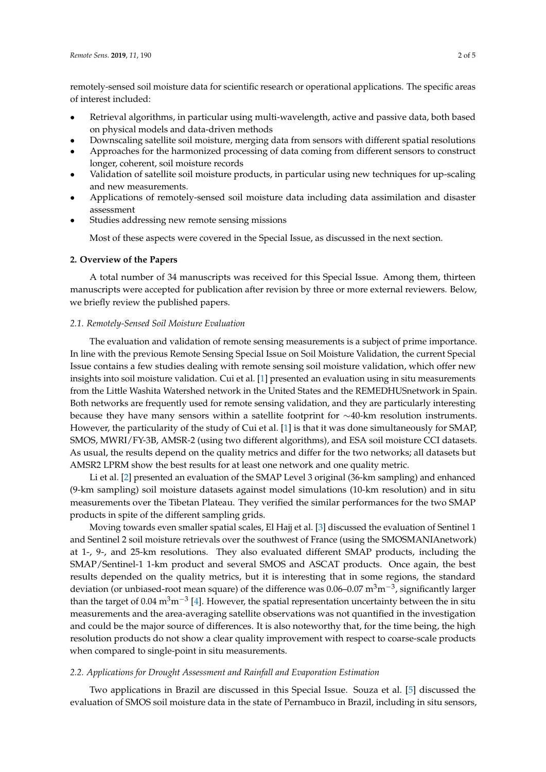remotely-sensed soil moisture data for scientific research or operational applications. The specific areas of interest included:

- Retrieval algorithms, in particular using multi-wavelength, active and passive data, both based on physical models and data-driven methods
- Downscaling satellite soil moisture, merging data from sensors with different spatial resolutions
- Approaches for the harmonized processing of data coming from different sensors to construct longer, coherent, soil moisture records
- Validation of satellite soil moisture products, in particular using new techniques for up-scaling and new measurements.
- Applications of remotely-sensed soil moisture data including data assimilation and disaster assessment
- Studies addressing new remote sensing missions

Most of these aspects were covered in the Special Issue, as discussed in the next section.

# **2. Overview of the Papers**

A total number of 34 manuscripts was received for this Special Issue. Among them, thirteen manuscripts were accepted for publication after revision by three or more external reviewers. Below, we briefly review the published papers.

## *2.1. Remotely-Sensed Soil Moisture Evaluation*

The evaluation and validation of remote sensing measurements is a subject of prime importance. In line with the previous Remote Sensing Special Issue on Soil Moisture Validation, the current Special Issue contains a few studies dealing with remote sensing soil moisture validation, which offer new insights into soil moisture validation. Cui et al. [\[1\]](#page-3-0) presented an evaluation using in situ measurements from the Little Washita Watershed network in the United States and the REMEDHUSnetwork in Spain. Both networks are frequently used for remote sensing validation, and they are particularly interesting because they have many sensors within a satellite footprint for ∼40-km resolution instruments. However, the particularity of the study of Cui et al. [\[1\]](#page-3-0) is that it was done simultaneously for SMAP, SMOS, MWRI/FY-3B, AMSR-2 (using two different algorithms), and ESA soil moisture CCI datasets. As usual, the results depend on the quality metrics and differ for the two networks; all datasets but AMSR2 LPRM show the best results for at least one network and one quality metric.

Li et al. [\[2\]](#page-3-1) presented an evaluation of the SMAP Level 3 original (36-km sampling) and enhanced (9-km sampling) soil moisture datasets against model simulations (10-km resolution) and in situ measurements over the Tibetan Plateau. They verified the similar performances for the two SMAP products in spite of the different sampling grids.

Moving towards even smaller spatial scales, El Hajj et al. [\[3\]](#page-3-2) discussed the evaluation of Sentinel 1 and Sentinel 2 soil moisture retrievals over the southwest of France (using the SMOSMANIAnetwork) at 1-, 9-, and 25-km resolutions. They also evaluated different SMAP products, including the SMAP/Sentinel-1 1-km product and several SMOS and ASCAT products. Once again, the best results depended on the quality metrics, but it is interesting that in some regions, the standard deviation (or unbiased-root mean square) of the difference was  $0.06-0.07$   $\mathrm{m^3 m^{-3}}$ , significantly larger than the target of 0.04 m<sup>3</sup>m<sup>-3</sup> [\[4\]](#page-3-3). However, the spatial representation uncertainty between the in situ measurements and the area-averaging satellite observations was not quantified in the investigation and could be the major source of differences. It is also noteworthy that, for the time being, the high resolution products do not show a clear quality improvement with respect to coarse-scale products when compared to single-point in situ measurements.

# *2.2. Applications for Drought Assessment and Rainfall and Evaporation Estimation*

Two applications in Brazil are discussed in this Special Issue. Souza et al. [\[5\]](#page-3-4) discussed the evaluation of SMOS soil moisture data in the state of Pernambuco in Brazil, including in situ sensors,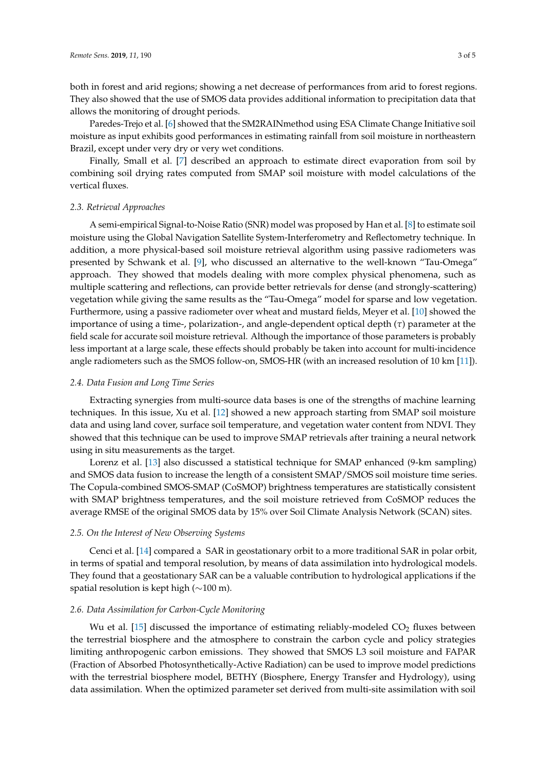both in forest and arid regions; showing a net decrease of performances from arid to forest regions. They also showed that the use of SMOS data provides additional information to precipitation data that allows the monitoring of drought periods.

Paredes-Trejo et al. [\[6\]](#page-3-5) showed that the SM2RAINmethod using ESA Climate Change Initiative soil moisture as input exhibits good performances in estimating rainfall from soil moisture in northeastern Brazil, except under very dry or very wet conditions.

Finally, Small et al. [\[7\]](#page-3-6) described an approach to estimate direct evaporation from soil by combining soil drying rates computed from SMAP soil moisture with model calculations of the vertical fluxes.

#### *2.3. Retrieval Approaches*

A semi-empirical Signal-to-Noise Ratio (SNR) model was proposed by Han et al. [\[8\]](#page-3-7) to estimate soil moisture using the Global Navigation Satellite System-Interferometry and Reflectometry technique. In addition, a more physical-based soil moisture retrieval algorithm using passive radiometers was presented by Schwank et al. [\[9\]](#page-3-8), who discussed an alternative to the well-known "Tau-Omega" approach. They showed that models dealing with more complex physical phenomena, such as multiple scattering and reflections, can provide better retrievals for dense (and strongly-scattering) vegetation while giving the same results as the "Tau-Omega" model for sparse and low vegetation. Furthermore, using a passive radiometer over wheat and mustard fields, Meyer et al. [\[10\]](#page-4-0) showed the importance of using a time-, polarization-, and angle-dependent optical depth (*τ*) parameter at the field scale for accurate soil moisture retrieval. Although the importance of those parameters is probably less important at a large scale, these effects should probably be taken into account for multi-incidence angle radiometers such as the SMOS follow-on, SMOS-HR (with an increased resolution of 10 km [\[11\]](#page-4-1)).

## *2.4. Data Fusion and Long Time Series*

Extracting synergies from multi-source data bases is one of the strengths of machine learning techniques. In this issue, Xu et al. [\[12\]](#page-4-2) showed a new approach starting from SMAP soil moisture data and using land cover, surface soil temperature, and vegetation water content from NDVI. They showed that this technique can be used to improve SMAP retrievals after training a neural network using in situ measurements as the target.

Lorenz et al. [\[13\]](#page-4-3) also discussed a statistical technique for SMAP enhanced (9-km sampling) and SMOS data fusion to increase the length of a consistent SMAP/SMOS soil moisture time series. The Copula-combined SMOS-SMAP (CoSMOP) brightness temperatures are statistically consistent with SMAP brightness temperatures, and the soil moisture retrieved from CoSMOP reduces the average RMSE of the original SMOS data by 15% over Soil Climate Analysis Network (SCAN) sites.

#### *2.5. On the Interest of New Observing Systems*

Cenci et al. [\[14\]](#page-4-4) compared a SAR in geostationary orbit to a more traditional SAR in polar orbit, in terms of spatial and temporal resolution, by means of data assimilation into hydrological models. They found that a geostationary SAR can be a valuable contribution to hydrological applications if the spatial resolution is kept high (∼100 m).

## *2.6. Data Assimilation for Carbon-Cycle Monitoring*

Wu et al. [\[15\]](#page-4-5) discussed the importance of estimating reliably-modeled  $CO<sub>2</sub>$  fluxes between the terrestrial biosphere and the atmosphere to constrain the carbon cycle and policy strategies limiting anthropogenic carbon emissions. They showed that SMOS L3 soil moisture and FAPAR (Fraction of Absorbed Photosynthetically-Active Radiation) can be used to improve model predictions with the terrestrial biosphere model, BETHY (Biosphere, Energy Transfer and Hydrology), using data assimilation. When the optimized parameter set derived from multi-site assimilation with soil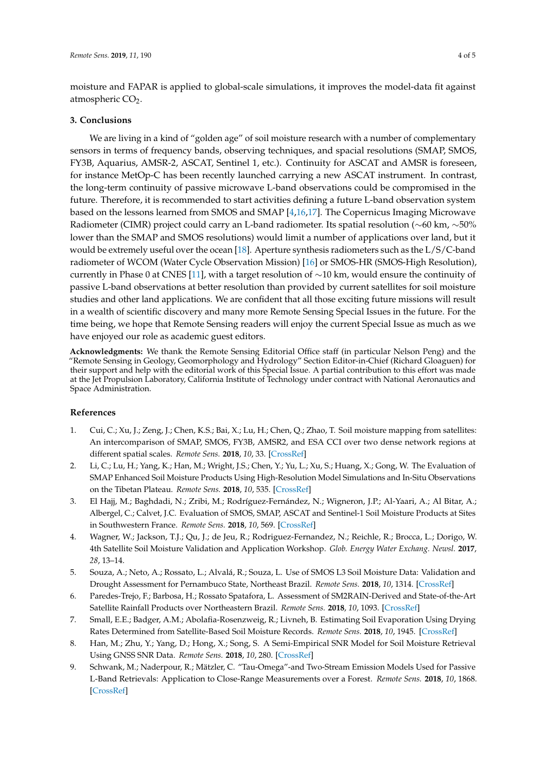moisture and FAPAR is applied to global-scale simulations, it improves the model-data fit against atmospheric  $CO<sub>2</sub>$ .

# **3. Conclusions**

We are living in a kind of "golden age" of soil moisture research with a number of complementary sensors in terms of frequency bands, observing techniques, and spacial resolutions (SMAP, SMOS, FY3B, Aquarius, AMSR-2, ASCAT, Sentinel 1, etc.). Continuity for ASCAT and AMSR is foreseen, for instance MetOp-C has been recently launched carrying a new ASCAT instrument. In contrast, the long-term continuity of passive microwave L-band observations could be compromised in the future. Therefore, it is recommended to start activities defining a future L-band observation system based on the lessons learned from SMOS and SMAP [\[4](#page-3-3)[,16](#page-4-6)[,17\]](#page-4-7). The Copernicus Imaging Microwave Radiometer (CIMR) project could carry an L-band radiometer. Its spatial resolution (∼60 km, ∼50% lower than the SMAP and SMOS resolutions) would limit a number of applications over land, but it would be extremely useful over the ocean [\[18\]](#page-4-8). Aperture synthesis radiometers such as the L/S/C-band radiometer of WCOM (Water Cycle Observation Mission) [\[16\]](#page-4-6) or SMOS-HR (SMOS-High Resolution), currently in Phase 0 at CNES [\[11\]](#page-4-1), with a target resolution of ∼10 km, would ensure the continuity of passive L-band observations at better resolution than provided by current satellites for soil moisture studies and other land applications. We are confident that all those exciting future missions will result in a wealth of scientific discovery and many more Remote Sensing Special Issues in the future. For the time being, we hope that Remote Sensing readers will enjoy the current Special Issue as much as we have enjoyed our role as academic guest editors.

**Acknowledgments:** We thank the Remote Sensing Editorial Office staff (in particular Nelson Peng) and the "Remote Sensing in Geology, Geomorphology and Hydrology" Section Editor-in-Chief (Richard Gloaguen) for their support and help with the editorial work of this Special Issue. A partial contribution to this effort was made at the Jet Propulsion Laboratory, California Institute of Technology under contract with National Aeronautics and Space Administration.

# **References**

- <span id="page-3-0"></span>1. Cui, C.; Xu, J.; Zeng, J.; Chen, K.S.; Bai, X.; Lu, H.; Chen, Q.; Zhao, T. Soil moisture mapping from satellites: An intercomparison of SMAP, SMOS, FY3B, AMSR2, and ESA CCI over two dense network regions at different spatial scales. *Remote Sens.* **2018**, *10*, 33. [\[CrossRef\]](http://dx.doi.org/10.3390/rs10010033)
- <span id="page-3-1"></span>2. Li, C.; Lu, H.; Yang, K.; Han, M.; Wright, J.S.; Chen, Y.; Yu, L.; Xu, S.; Huang, X.; Gong, W. The Evaluation of SMAP Enhanced Soil Moisture Products Using High-Resolution Model Simulations and In-Situ Observations on the Tibetan Plateau. *Remote Sens.* **2018**, *10*, 535. [\[CrossRef\]](http://dx.doi.org/10.3390/rs10040535)
- <span id="page-3-2"></span>3. El Hajj, M.; Baghdadi, N.; Zribi, M.; Rodríguez-Fernández, N.; Wigneron, J.P.; Al-Yaari, A.; Al Bitar, A.; Albergel, C.; Calvet, J.C. Evaluation of SMOS, SMAP, ASCAT and Sentinel-1 Soil Moisture Products at Sites in Southwestern France. *Remote Sens.* **2018**, *10*, 569. [\[CrossRef\]](http://dx.doi.org/10.3390/rs10040569)
- <span id="page-3-3"></span>4. Wagner, W.; Jackson, T.J.; Qu, J.; de Jeu, R.; Rodriguez-Fernandez, N.; Reichle, R.; Brocca, L.; Dorigo, W. 4th Satellite Soil Moisture Validation and Application Workshop. *Glob. Energy Water Exchang. Newsl.* **2017**, *28*, 13–14.
- <span id="page-3-4"></span>5. Souza, A.; Neto, A.; Rossato, L.; Alvalá, R.; Souza, L. Use of SMOS L3 Soil Moisture Data: Validation and Drought Assessment for Pernambuco State, Northeast Brazil. *Remote Sens.* **2018**, *10*, 1314. [\[CrossRef\]](http://dx.doi.org/10.3390/rs10081314)
- <span id="page-3-5"></span>6. Paredes-Trejo, F.; Barbosa, H.; Rossato Spatafora, L. Assessment of SM2RAIN-Derived and State-of-the-Art Satellite Rainfall Products over Northeastern Brazil. *Remote Sens.* **2018**, *10*, 1093. [\[CrossRef\]](http://dx.doi.org/10.3390/rs10071093)
- <span id="page-3-6"></span>7. Small, E.E.; Badger, A.M.; Abolafia-Rosenzweig, R.; Livneh, B. Estimating Soil Evaporation Using Drying Rates Determined from Satellite-Based Soil Moisture Records. *Remote Sens.* **2018**, *10*, 1945. [\[CrossRef\]](http://dx.doi.org/10.3390/rs10121945)
- <span id="page-3-7"></span>8. Han, M.; Zhu, Y.; Yang, D.; Hong, X.; Song, S. A Semi-Empirical SNR Model for Soil Moisture Retrieval Using GNSS SNR Data. *Remote Sens.* **2018**, *10*, 280. [\[CrossRef\]](http://dx.doi.org/10.3390/rs10020280)
- <span id="page-3-8"></span>9. Schwank, M.; Naderpour, R.; Mätzler, C. "Tau-Omega"-and Two-Stream Emission Models Used for Passive L-Band Retrievals: Application to Close-Range Measurements over a Forest. *Remote Sens.* **2018**, *10*, 1868. [\[CrossRef\]](http://dx.doi.org/10.3390/rs10121868)